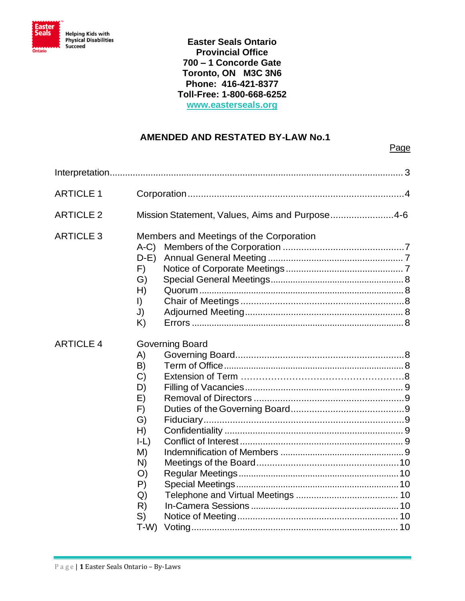

**BY-LAWS [www.easterseals.org](http://www.easterseals.org/)Easter Seals Ontario Provincial Office 700 – 1 Concorde Gate Toronto, ON M3C 3N6 Phone: 416-421-8377 Toll-Free: 1-800-668-6252**

## **AMENDED AND RESTATED BY-LAW No.1**

| <b>ARTICLE 1</b> |                                                                                                                                           |
|------------------|-------------------------------------------------------------------------------------------------------------------------------------------|
| <b>ARTICLE 2</b> | Mission Statement, Values, Aims and Purpose4-6                                                                                            |
| <b>ARTICLE 3</b> | Members and Meetings of the Corporation<br>$A-C$<br>$D-E$<br>F)<br>G)<br>H)<br>$\vert$<br>J)<br>K)                                        |
| <b>ARTICLE 4</b> | <b>Governing Board</b><br>A)<br>B)<br>C)<br>D)<br>E)<br>F)<br>G)<br>H)<br>$ -L\rangle$<br>M)<br>N)<br>O)<br>P)<br>Q)<br>R)<br>S)<br>$T-W$ |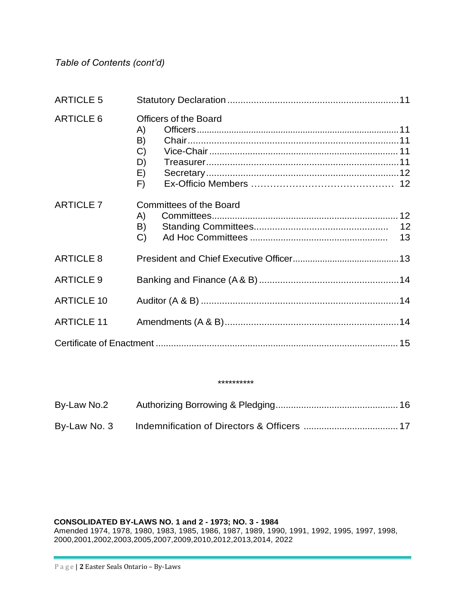*Table of Contents (cont'd)*

| <b>ARTICLE 5</b>  |                                                                             |  |
|-------------------|-----------------------------------------------------------------------------|--|
| <b>ARTICLE 6</b>  | <b>Officers of the Board</b><br>A)<br>B)<br>$\mathcal{C}$<br>D)<br>E)<br>F) |  |
| <b>ARTICLE 7</b>  | <b>Committees of the Board</b><br>A)<br>B)<br>C)                            |  |
| <b>ARTICLE 8</b>  |                                                                             |  |
| <b>ARTICLE 9</b>  |                                                                             |  |
| <b>ARTICLE 10</b> |                                                                             |  |
| <b>ARTICLE 11</b> |                                                                             |  |
|                   |                                                                             |  |

#### \*\*\*\*\*\*\*\*\*\*

| By-Law No.2  |  |
|--------------|--|
| By-Law No. 3 |  |

#### **CONSOLIDATED BY-LAWS NO. 1 and 2 - 1973; NO. 3 - 1984**

Amended 1974, 1978, 1980, 1983, 1985, 1986, 1987, 1989, 1990, 1991, 1992, 1995, 1997, 1998, 2000,2001,2002,2003,2005,2007,2009,2010,2012,2013,2014, 2022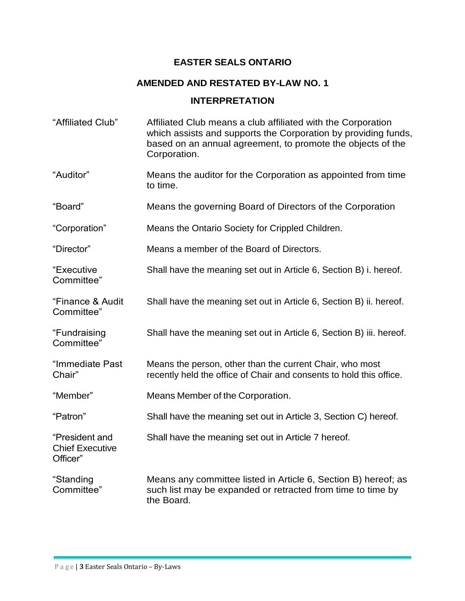## **EASTER SEALS ONTARIO**

## **AMENDED AND RESTATED BY-LAW NO. 1**

## **INTERPRETATION**

| "Affiliated Club"                                    | Affiliated Club means a club affiliated with the Corporation<br>which assists and supports the Corporation by providing funds,<br>based on an annual agreement, to promote the objects of the<br>Corporation. |
|------------------------------------------------------|---------------------------------------------------------------------------------------------------------------------------------------------------------------------------------------------------------------|
| "Auditor"                                            | Means the auditor for the Corporation as appointed from time<br>to time.                                                                                                                                      |
| "Board"                                              | Means the governing Board of Directors of the Corporation                                                                                                                                                     |
| "Corporation"                                        | Means the Ontario Society for Crippled Children.                                                                                                                                                              |
| "Director"                                           | Means a member of the Board of Directors.                                                                                                                                                                     |
| "Executive<br>Committee"                             | Shall have the meaning set out in Article 6, Section B) i. hereof.                                                                                                                                            |
| "Finance & Audit<br>Committee"                       | Shall have the meaning set out in Article 6, Section B) ii. hereof.                                                                                                                                           |
| "Fundraising<br>Committee"                           | Shall have the meaning set out in Article 6, Section B) iii. hereof.                                                                                                                                          |
| "Immediate Past<br>Chair"                            | Means the person, other than the current Chair, who most<br>recently held the office of Chair and consents to hold this office.                                                                               |
| "Member"                                             | Means Member of the Corporation.                                                                                                                                                                              |
| "Patron"                                             | Shall have the meaning set out in Article 3, Section C) hereof.                                                                                                                                               |
| "President and<br><b>Chief Executive</b><br>Officer" | Shall have the meaning set out in Article 7 hereof.                                                                                                                                                           |
| "Standing<br>Committee"                              | Means any committee listed in Article 6, Section B) hereof; as<br>such list may be expanded or retracted from time to time by<br>the Board.                                                                   |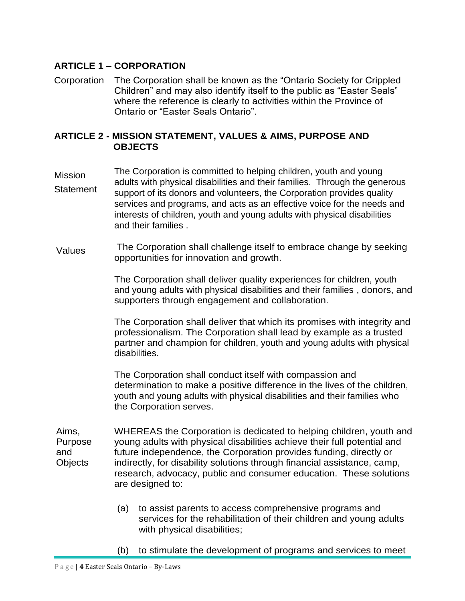## **ARTICLE 1 – CORPORATION**

Corporation The Corporation shall be known as the "Ontario Society for Crippled Children" and may also identify itself to the public as "Easter Seals" where the reference is clearly to activities within the Province of Ontario or "Easter Seals Ontario".

#### **ARTICLE 2 - MISSION STATEMENT, VALUES & AIMS, PURPOSE AND OBJECTS**

- Mission **Statement** The Corporation is committed to helping children, youth and young adults with physical disabilities and their families. Through the generous support of its donors and volunteers, the Corporation provides quality services and programs, and acts as an effective voice for the needs and interests of children, youth and young adults with physical disabilities and their families .
- Values The Corporation shall challenge itself to embrace change by seeking opportunities for innovation and growth.

The Corporation shall deliver quality experiences for children, youth and young adults with physical disabilities and their families , donors, and supporters through engagement and collaboration.

The Corporation shall deliver that which its promises with integrity and professionalism. The Corporation shall lead by example as a trusted partner and champion for children, youth and young adults with physical disabilities.

The Corporation shall conduct itself with compassion and determination to make a positive difference in the lives of the children, youth and young adults with physical disabilities and their families who the Corporation serves.

- Aims, Purpose and **Objects** WHEREAS the Corporation is dedicated to helping children, youth and young adults with physical disabilities achieve their full potential and future independence, the Corporation provides funding, directly or indirectly, for disability solutions through financial assistance, camp, research, advocacy, public and consumer education. These solutions are designed to:
	- (a) to assist parents to access comprehensive programs and services for the rehabilitation of their children and young adults with physical disabilities;
	- (b) to stimulate the development of programs and services to meet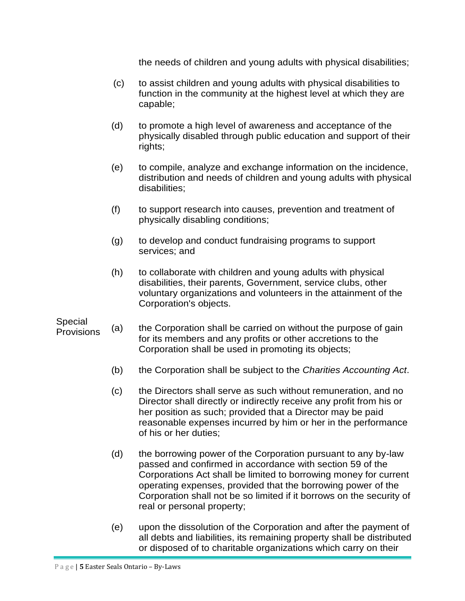the needs of children and young adults with physical disabilities;

- (c) to assist children and young adults with physical disabilities to function in the community at the highest level at which they are capable;
- (d) to promote a high level of awareness and acceptance of the physically disabled through public education and support of their rights;
- (e) to compile, analyze and exchange information on the incidence, distribution and needs of children and young adults with physical disabilities;
- (f) to support research into causes, prevention and treatment of physically disabling conditions;
- (g) to develop and conduct fundraising programs to support services; and
- (h) to collaborate with children and young adults with physical disabilities, their parents, Government, service clubs, other voluntary organizations and volunteers in the attainment of the Corporation's objects.

## Special

- **Provisions** (a) the Corporation shall be carried on without the purpose of gain for its members and any profits or other accretions to the Corporation shall be used in promoting its objects;
	- (b) the Corporation shall be subject to the *Charities Accounting Act*.
	- (c) the Directors shall serve as such without remuneration, and no Director shall directly or indirectly receive any profit from his or her position as such; provided that a Director may be paid reasonable expenses incurred by him or her in the performance of his or her duties;
	- (d) the borrowing power of the Corporation pursuant to any by-law passed and confirmed in accordance with section 59 of the Corporations Act shall be limited to borrowing money for current operating expenses, provided that the borrowing power of the Corporation shall not be so limited if it borrows on the security of real or personal property;
	- (e) upon the dissolution of the Corporation and after the payment of all debts and liabilities, its remaining property shall be distributed or disposed of to charitable organizations which carry on their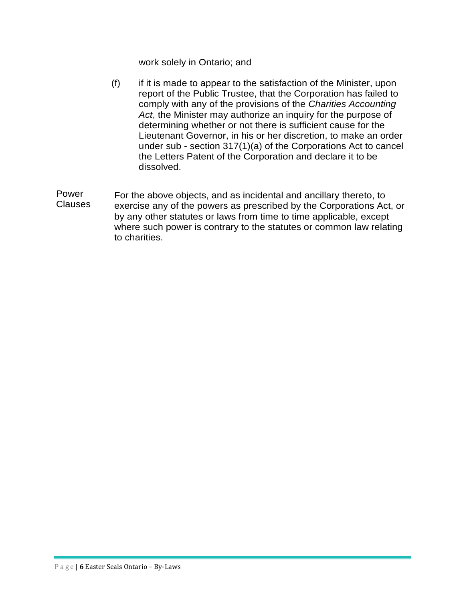work solely in Ontario; and

- (f) if it is made to appear to the satisfaction of the Minister, upon report of the Public Trustee, that the Corporation has failed to comply with any of the provisions of the *Charities Accounting Act*, the Minister may authorize an inquiry for the purpose of determining whether or not there is sufficient cause for the Lieutenant Governor, in his or her discretion, to make an order under sub - section 317(1)(a) of the Corporations Act to cancel the Letters Patent of the Corporation and declare it to be dissolved.
- Power Clauses For the above objects, and as incidental and ancillary thereto, to exercise any of the powers as prescribed by the Corporations Act, or by any other statutes or laws from time to time applicable, except where such power is contrary to the statutes or common law relating to charities.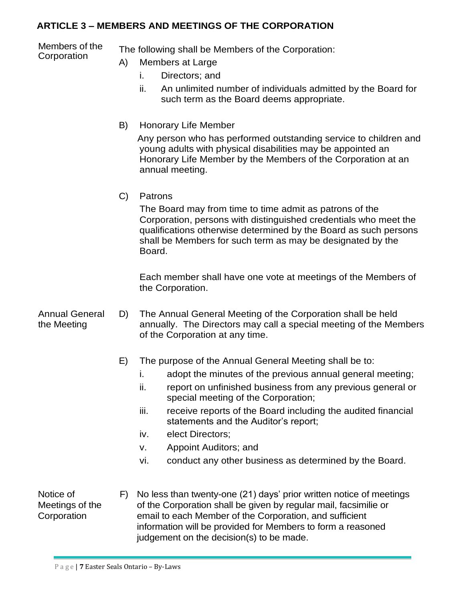## **ARTICLE 3 – MEMBERS AND MEETINGS OF THE CORPORATION**

Members of the

Members of the The following shall be Members of the Corporation:<br>Corporation (A) Members at Large

- Members at Large
	- i. Directors; and
	- ii. An unlimited number of individuals admitted by the Board for such term as the Board deems appropriate.
- B) Honorary Life Member

 Any person who has performed outstanding service to children and young adults with physical disabilities may be appointed an Honorary Life Member by the Members of the Corporation at an annual meeting.

C) Patrons

The Board may from time to time admit as patrons of the Corporation, persons with distinguished credentials who meet the qualifications otherwise determined by the Board as such persons shall be Members for such term as may be designated by the Board.

Each member shall have one vote at meetings of the Members of the Corporation.

Annual General the Meeting D) The Annual General Meeting of the Corporation shall be held annually. The Directors may call a special meeting of the Members of the Corporation at any time.

- E) The purpose of the Annual General Meeting shall be to:
	- i. adopt the minutes of the previous annual general meeting;
	- ii. report on unfinished business from any previous general or special meeting of the Corporation;
	- iii. receive reports of the Board including the audited financial statements and the Auditor's report;
	- iv. elect Directors;
	- v. Appoint Auditors; and
	- vi. conduct any other business as determined by the Board.

Notice of Meetings of the **Corporation** 

F) No less than twenty-one (21) days' prior written notice of meetings of the Corporation shall be given by regular mail, facsimilie or email to each Member of the Corporation, and sufficient information will be provided for Members to form a reasoned judgement on the decision(s) to be made.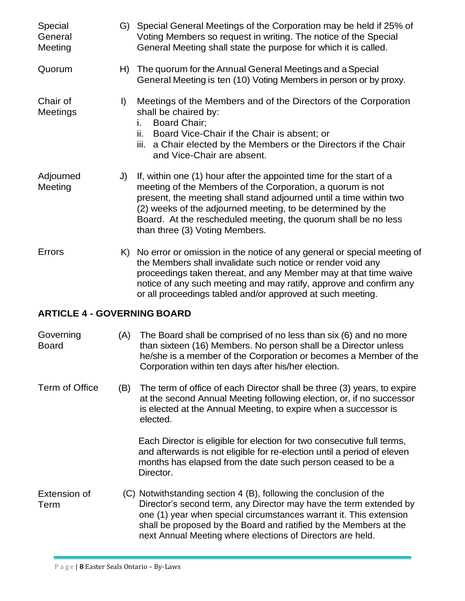| Special<br>General<br>Meeting      |         | G) Special General Meetings of the Corporation may be held if 25% of<br>Voting Members so request in writing. The notice of the Special<br>General Meeting shall state the purpose for which it is called.                                                                                                                                                                 |
|------------------------------------|---------|----------------------------------------------------------------------------------------------------------------------------------------------------------------------------------------------------------------------------------------------------------------------------------------------------------------------------------------------------------------------------|
| Quorum                             | H)      | The quorum for the Annual General Meetings and a Special<br>General Meeting is ten (10) Voting Members in person or by proxy.                                                                                                                                                                                                                                              |
| Chair of<br>Meetings               | $\vert$ | Meetings of the Members and of the Directors of the Corporation<br>shall be chaired by:<br><b>Board Chair:</b><br>i.<br>Board Vice-Chair if the Chair is absent; or<br>ii.<br>iii.<br>a Chair elected by the Members or the Directors if the Chair<br>and Vice-Chair are absent.                                                                                           |
| Adjourned<br>Meeting               | J)      | If, within one (1) hour after the appointed time for the start of a<br>meeting of the Members of the Corporation, a quorum is not<br>present, the meeting shall stand adjourned until a time within two<br>(2) weeks of the adjourned meeting, to be determined by the<br>Board. At the rescheduled meeting, the quorum shall be no less<br>than three (3) Voting Members. |
| Errors                             |         | K) No error or omission in the notice of any general or special meeting of<br>the Members shall invalidate such notice or render void any<br>proceedings taken thereat, and any Member may at that time waive<br>notice of any such meeting and may ratify, approve and confirm any<br>or all proceedings tabled and/or approved at such meeting.                          |
| <b>ARTICLE 4 - GOVERNING BOARD</b> |         |                                                                                                                                                                                                                                                                                                                                                                            |
| Covana                             |         | $(0)$ The Deem shell be comprised of no less than our $(0)$ and no me.                                                                                                                                                                                                                                                                                                     |

Governing Board (A) The Board shall be comprised of no less than six (6) and no more than sixteen (16) Members. No person shall be a Director unless he/she is a member of the Corporation or becomes a Member of the Corporation within ten days after his/her election.

Term of Office (B) The term of office of each Director shall be three (3) years, to expire at the second Annual Meeting following election, or, if no successor is elected at the Annual Meeting, to expire when a successor is elected.

> Each Director is eligible for election for two consecutive full terms, and afterwards is not eligible for re-election until a period of eleven months has elapsed from the date such person ceased to be a Director.

Extension of Term (C) Notwithstanding section 4 (B), following the conclusion of the Director's second term, any Director may have the term extended by one (1) year when special circumstances warrant it. This extension shall be proposed by the Board and ratified by the Members at the next Annual Meeting where elections of Directors are held.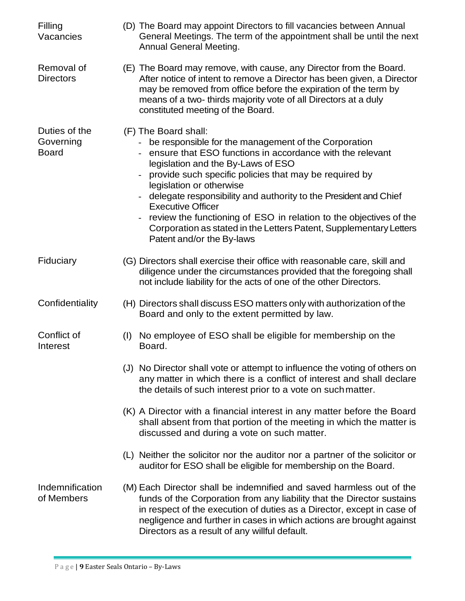| Filling<br>Vacancies                       | (D) The Board may appoint Directors to fill vacancies between Annual<br>General Meetings. The term of the appointment shall be until the next<br>Annual General Meeting.                                                                                                                                                                                                                                                                                                                                                                         |
|--------------------------------------------|--------------------------------------------------------------------------------------------------------------------------------------------------------------------------------------------------------------------------------------------------------------------------------------------------------------------------------------------------------------------------------------------------------------------------------------------------------------------------------------------------------------------------------------------------|
| Removal of<br><b>Directors</b>             | (E) The Board may remove, with cause, any Director from the Board.<br>After notice of intent to remove a Director has been given, a Director<br>may be removed from office before the expiration of the term by<br>means of a two- thirds majority vote of all Directors at a duly<br>constituted meeting of the Board.                                                                                                                                                                                                                          |
| Duties of the<br>Governing<br><b>Board</b> | (F) The Board shall:<br>- be responsible for the management of the Corporation<br>ensure that ESO functions in accordance with the relevant<br>legislation and the By-Laws of ESO<br>provide such specific policies that may be required by<br>legislation or otherwise<br>delegate responsibility and authority to the President and Chief<br><b>Executive Officer</b><br>review the functioning of ESO in relation to the objectives of the<br>Corporation as stated in the Letters Patent, Supplementary Letters<br>Patent and/or the By-laws |
| Fiduciary                                  | (G) Directors shall exercise their office with reasonable care, skill and<br>diligence under the circumstances provided that the foregoing shall<br>not include liability for the acts of one of the other Directors.                                                                                                                                                                                                                                                                                                                            |
| Confidentiality                            | (H) Directors shall discuss ESO matters only with authorization of the<br>Board and only to the extent permitted by law.                                                                                                                                                                                                                                                                                                                                                                                                                         |
| Conflict of<br>Interest                    | No employee of ESO shall be eligible for membership on the<br>(I)<br>Board.                                                                                                                                                                                                                                                                                                                                                                                                                                                                      |
|                                            | (J) No Director shall vote or attempt to influence the voting of others on<br>any matter in which there is a conflict of interest and shall declare<br>the details of such interest prior to a vote on such matter.                                                                                                                                                                                                                                                                                                                              |
|                                            | (K) A Director with a financial interest in any matter before the Board<br>shall absent from that portion of the meeting in which the matter is<br>discussed and during a vote on such matter.                                                                                                                                                                                                                                                                                                                                                   |
|                                            | (L) Neither the solicitor nor the auditor nor a partner of the solicitor or<br>auditor for ESO shall be eligible for membership on the Board.                                                                                                                                                                                                                                                                                                                                                                                                    |
| Indemnification<br>of Members              | (M) Each Director shall be indemnified and saved harmless out of the<br>funds of the Corporation from any liability that the Director sustains<br>in respect of the execution of duties as a Director, except in case of<br>negligence and further in cases in which actions are brought against<br>Directors as a result of any willful default.                                                                                                                                                                                                |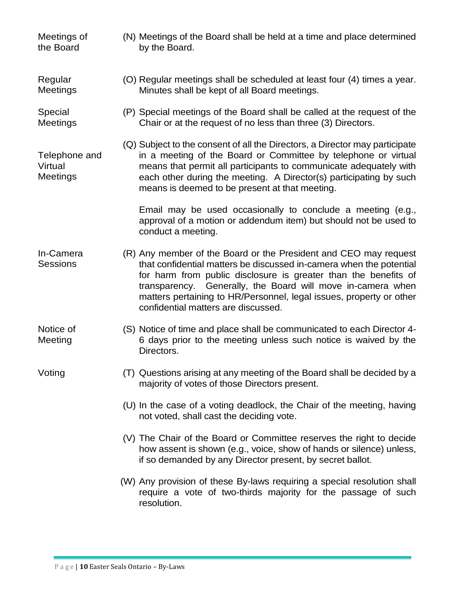- Meetings of the Board (N) Meetings of the Board shall be held at a time and place determined by the Board.
- Regular Meetings (O) Regular meetings shall be scheduled at least four (4) times a year. Minutes shall be kept of all Board meetings.
- Special Meetings (P) Special meetings of the Board shall be called at the request of the Chair or at the request of no less than three (3) Directors.
- Telephone and Virtual Meetings (Q) Subject to the consent of all the Directors, a Director may participate in a meeting of the Board or Committee by telephone or virtual means that permit all participants to communicate adequately with each other during the meeting. A Director(s) participating by such means is deemed to be present at that meeting.

Email may be used occasionally to conclude a meeting (e.g., approval of a motion or addendum item) but should not be used to conduct a meeting.

- In-Camera **Sessions** (R) Any member of the Board or the President and CEO may request that confidential matters be discussed in-camera when the potential for harm from public disclosure is greater than the benefits of transparency. Generally, the Board will move in-camera when matters pertaining to HR/Personnel, legal issues, property or other confidential matters are discussed.
- Notice of Meeting (S) Notice of time and place shall be communicated to each Director 4- 6 days prior to the meeting unless such notice is waived by the Directors.
- Voting (T) Questions arising at any meeting of the Board shall be decided by a majority of votes of those Directors present.
	- (U) In the case of a voting deadlock, the Chair of the meeting, having not voted, shall cast the deciding vote.
	- (V) The Chair of the Board or Committee reserves the right to decide how assent is shown (e.g., voice, show of hands or silence) unless, if so demanded by any Director present, by secret ballot.
	- (W) Any provision of these By-laws requiring a special resolution shall require a vote of two-thirds majority for the passage of such resolution.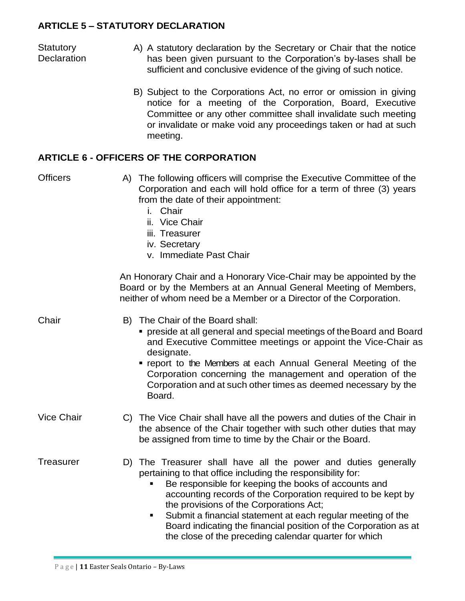## **ARTICLE 5 – STATUTORY DECLARATION**

**Statutory Declaration** 

- A) A statutory declaration by the Secretary or Chair that the notice has been given pursuant to the Corporation's by-lases shall be sufficient and conclusive evidence of the giving of such notice.
	- B) Subject to the Corporations Act, no error or omission in giving notice for a meeting of the Corporation, Board, Executive Committee or any other committee shall invalidate such meeting or invalidate or make void any proceedings taken or had at such meeting.

## **ARTICLE 6 - OFFICERS OF THE CORPORATION**

| <b>Officers</b>   | A) The following officers will comprise the Executive Committee of the<br>Corporation and each will hold office for a term of three (3) years<br>from the date of their appointment:<br>Chair<br>i.<br>ii. Vice Chair<br>iii. Treasurer<br>iv. Secretary<br>v. Immediate Past Chair                                                                                                                                                                                                               |
|-------------------|---------------------------------------------------------------------------------------------------------------------------------------------------------------------------------------------------------------------------------------------------------------------------------------------------------------------------------------------------------------------------------------------------------------------------------------------------------------------------------------------------|
|                   | An Honorary Chair and a Honorary Vice-Chair may be appointed by the<br>Board or by the Members at an Annual General Meeting of Members,<br>neither of whom need be a Member or a Director of the Corporation.                                                                                                                                                                                                                                                                                     |
| Chair             | B) The Chair of the Board shall:<br>• preside at all general and special meetings of the Board and Board<br>and Executive Committee meetings or appoint the Vice-Chair as<br>designate.<br>" report to the Members at each Annual General Meeting of the<br>Corporation concerning the management and operation of the<br>Corporation and at such other times as deemed necessary by the<br>Board.                                                                                                |
| <b>Vice Chair</b> | C) The Vice Chair shall have all the powers and duties of the Chair in<br>the absence of the Chair together with such other duties that may<br>be assigned from time to time by the Chair or the Board.                                                                                                                                                                                                                                                                                           |
| Treasurer         | D) The Treasurer shall have all the power and duties generally<br>pertaining to that office including the responsibility for:<br>Be responsible for keeping the books of accounts and<br>accounting records of the Corporation required to be kept by<br>the provisions of the Corporations Act;<br>Submit a financial statement at each regular meeting of the<br>п<br>Board indicating the financial position of the Corporation as at<br>the close of the preceding calendar quarter for which |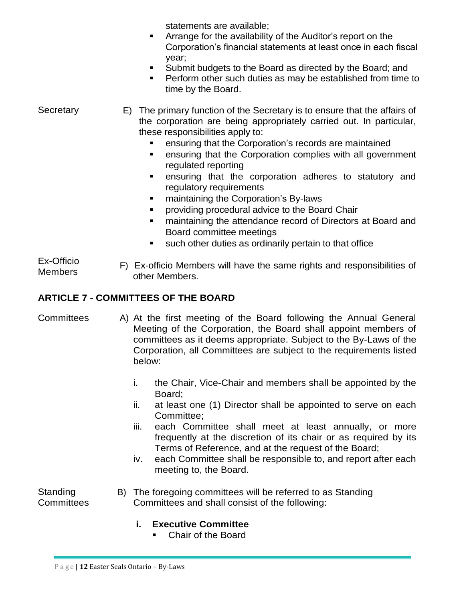statements are available;

- Arrange for the availability of the Auditor's report on the Corporation's financial statements at least once in each fiscal year;
- Submit budgets to the Board as directed by the Board; and
- Perform other such duties as may be established from time to time by the Board.
- **Secretary** E) The primary function of the Secretary is to ensure that the affairs of the corporation are being appropriately carried out. In particular, these responsibilities apply to:
	- ensuring that the Corporation's records are maintained
	- ensuring that the Corporation complies with all government regulated reporting
	- ensuring that the corporation adheres to statutory and regulatory requirements
	- maintaining the Corporation's By-laws
	- providing procedural advice to the Board Chair
	- maintaining the attendance record of Directors at Board and Board committee meetings
	- such other duties as ordinarily pertain to that office
- Ex-Officio Members F) Ex-officio Members will have the same rights and responsibilities of other Members.

# **ARTICLE 7 - COMMITTEES OF THE BOARD**

- Committees A) At the first meeting of the Board following the Annual General Meeting of the Corporation, the Board shall appoint members of committees as it deems appropriate. Subject to the By-Laws of the Corporation, all Committees are subject to the requirements listed below:
	- i. the Chair, Vice-Chair and members shall be appointed by the Board;
	- ii. at least one (1) Director shall be appointed to serve on each Committee;
	- iii. each Committee shall meet at least annually, or more frequently at the discretion of its chair or as required by its Terms of Reference, and at the request of the Board;
	- iv. each Committee shall be responsible to, and report after each meeting to, the Board.

Standing **Committees** 

- B) The foregoing committees will be referred to as Standing Committees and shall consist of the following:
	- **i. Executive Committee**
		- Chair of the Board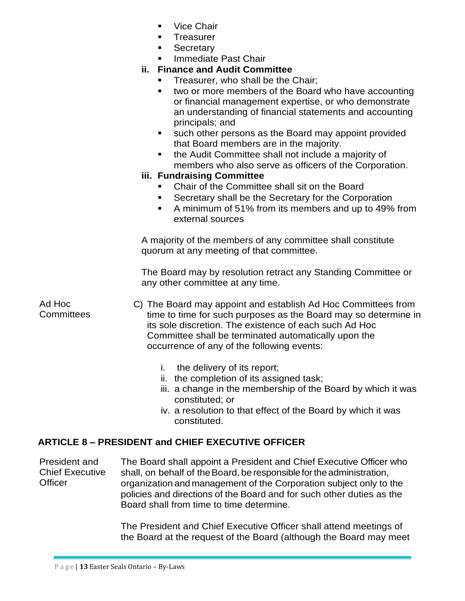- **Vice Chair**
- **Treasurer**
- **Secretary**
- **Immediate Past Chair**

## **ii. Finance and Audit Committee**

- Treasurer, who shall be the Chair;
- two or more members of the Board who have accounting or financial management expertise, or who demonstrate an understanding of financial statements and accounting principals; and
- such other persons as the Board may appoint provided that Board members are in the majority.
- the Audit Committee shall not include a majority of members who also serve as officers of the Corporation.

## **iii. Fundraising Committee**

- Chair of the Committee shall sit on the Board
- Secretary shall be the Secretary for the Corporation
- A minimum of 51% from its members and up to 49% from external sources

A majority of the members of any committee shall constitute quorum at any meeting of that committee.

The Board may by resolution retract any Standing Committee or any other committee at any time.

Ad Hoc **Committees** C) The Board may appoint and establish Ad Hoc Committees from time to time for such purposes as the Board may so determine in its sole discretion. The existence of each such Ad Hoc Committee shall be terminated automatically upon the occurrence of any of the following events:

- i. the delivery of its report;
- ii. the completion of its assigned task;
- iii. a change in the membership of the Board by which it was constituted; or
- iv. a resolution to that effect of the Board by which it was constituted.

# **ARTICLE 8 – PRESIDENT and CHIEF EXECUTIVE OFFICER**

President and Chief Executive **Officer** The Board shall appoint a President and Chief Executive Officer who shall, on behalf of the Board, be responsible for the administration, organization and management of the Corporation subject only to the policies and directions of the Board and for such other duties as the Board shall from time to time determine.

> The President and Chief Executive Officer shall attend meetings of the Board at the request of the Board (although the Board may meet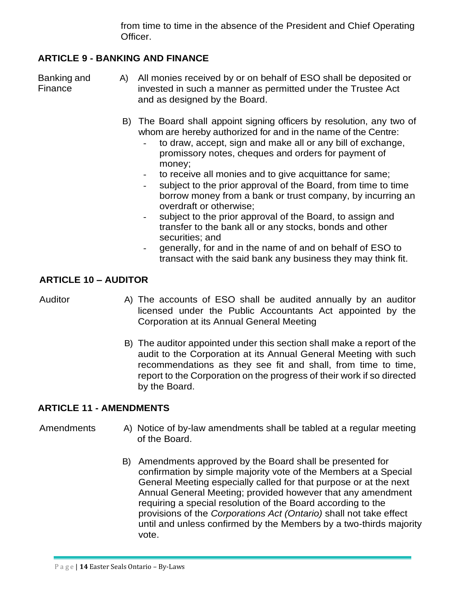from time to time in the absence of the President and Chief Operating Officer.

## **ARTICLE 9 - BANKING AND FINANCE**

Banking and Finance

- A) All monies received by or on behalf of ESO shall be deposited or invested in such a manner as permitted under the Trustee Act and as designed by the Board.
	- B) The Board shall appoint signing officers by resolution, any two of whom are hereby authorized for and in the name of the Centre:
		- to draw, accept, sign and make all or any bill of exchange, promissory notes, cheques and orders for payment of money;
		- to receive all monies and to give acquittance for same;
		- subject to the prior approval of the Board, from time to time borrow money from a bank or trust company, by incurring an overdraft or otherwise;
		- subject to the prior approval of the Board, to assign and transfer to the bank all or any stocks, bonds and other securities; and
		- generally, for and in the name of and on behalf of ESO to transact with the said bank any business they may think fit.

## **ARTICLE 10 – AUDITOR**

- Auditor **A**) The accounts of ESO shall be audited annually by an auditor licensed under the Public Accountants Act appointed by the Corporation at its Annual General Meeting
	- B) The auditor appointed under this section shall make a report of the audit to the Corporation at its Annual General Meeting with such recommendations as they see fit and shall, from time to time, report to the Corporation on the progress of their work if so directed by the Board.

## **ARTICLE 11 - AMENDMENTS**

- Amendments A) Notice of by-law amendments shall be tabled at a regular meeting of the Board.
	- B) Amendments approved by the Board shall be presented for confirmation by simple majority vote of the Members at a Special General Meeting especially called for that purpose or at the next Annual General Meeting; provided however that any amendment requiring a special resolution of the Board according to the provisions of the *Corporations Act (Ontario)* shall not take effect until and unless confirmed by the Members by a two-thirds majority vote.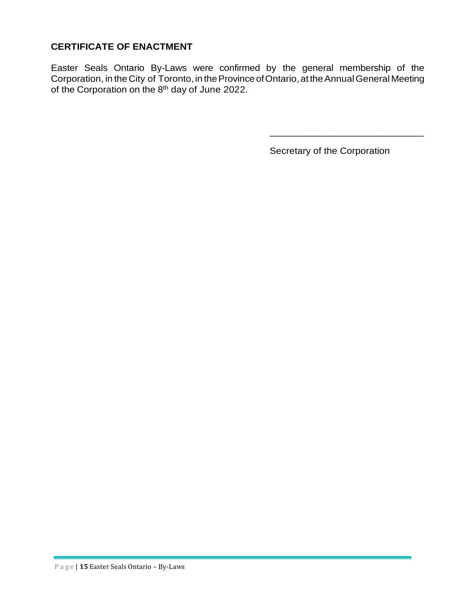## **CERTIFICATE OF ENACTMENT**

Easter Seals Ontario By-Laws were confirmed by the general membership of the Corporation, in the City of Toronto, in the Province of Ontario, at the Annual General Meeting of the Corporation on the 8<sup>th</sup> day of June 2022.

Secretary of the Corporation

\_\_\_\_\_\_\_\_\_\_\_\_\_\_\_\_\_\_\_\_\_\_\_\_\_\_\_\_\_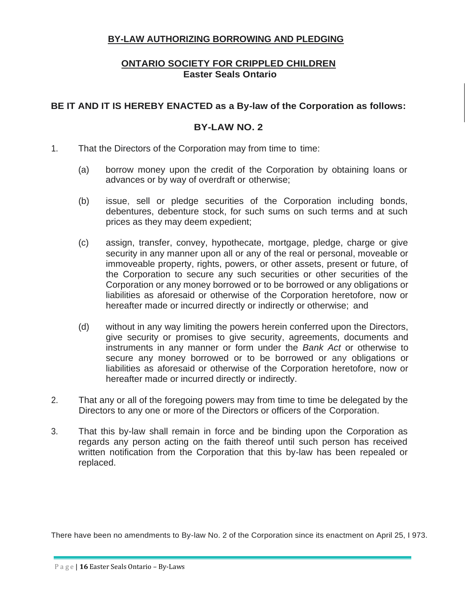#### **BY-LAW AUTHORIZING BORROWING AND PLEDGING**

## **ONTARIO SOCIETY FOR CRIPPLED CHILDREN Easter Seals Ontario**

#### **BE IT AND IT IS HEREBY ENACTED as a By-law of the Corporation as follows:**

#### **BY-LAW NO. 2**

- 1. That the Directors of the Corporation may from time to time:
	- (a) borrow money upon the credit of the Corporation by obtaining loans or advances or by way of overdraft or otherwise;
	- (b) issue, sell or pledge securities of the Corporation including bonds, debentures, debenture stock, for such sums on such terms and at such prices as they may deem expedient;
	- (c) assign, transfer, convey, hypothecate, mortgage, pledge, charge or give security in any manner upon all or any of the real or personal, moveable or immoveable property, rights, powers, or other assets, present or future, of the Corporation to secure any such securities or other securities of the Corporation or any money borrowed or to be borrowed or any obligations or liabilities as aforesaid or otherwise of the Corporation heretofore, now or hereafter made or incurred directly or indirectly or otherwise; and
	- (d) without in any way limiting the powers herein conferred upon the Directors, give security or promises to give security, agreements, documents and instruments in any manner or form under the *Bank Act* or otherwise to secure any money borrowed or to be borrowed or any obligations or liabilities as aforesaid or otherwise of the Corporation heretofore, now or hereafter made or incurred directly or indirectly.
- 2. That any or all of the foregoing powers may from time to time be delegated by the Directors to any one or more of the Directors or officers of the Corporation.
- 3. That this by-law shall remain in force and be binding upon the Corporation as regards any person acting on the faith thereof until such person has received written notification from the Corporation that this by-law has been repealed or replaced.

There have been no amendments to By-law No. 2 of the Corporation since its enactment on April 25, I 973.